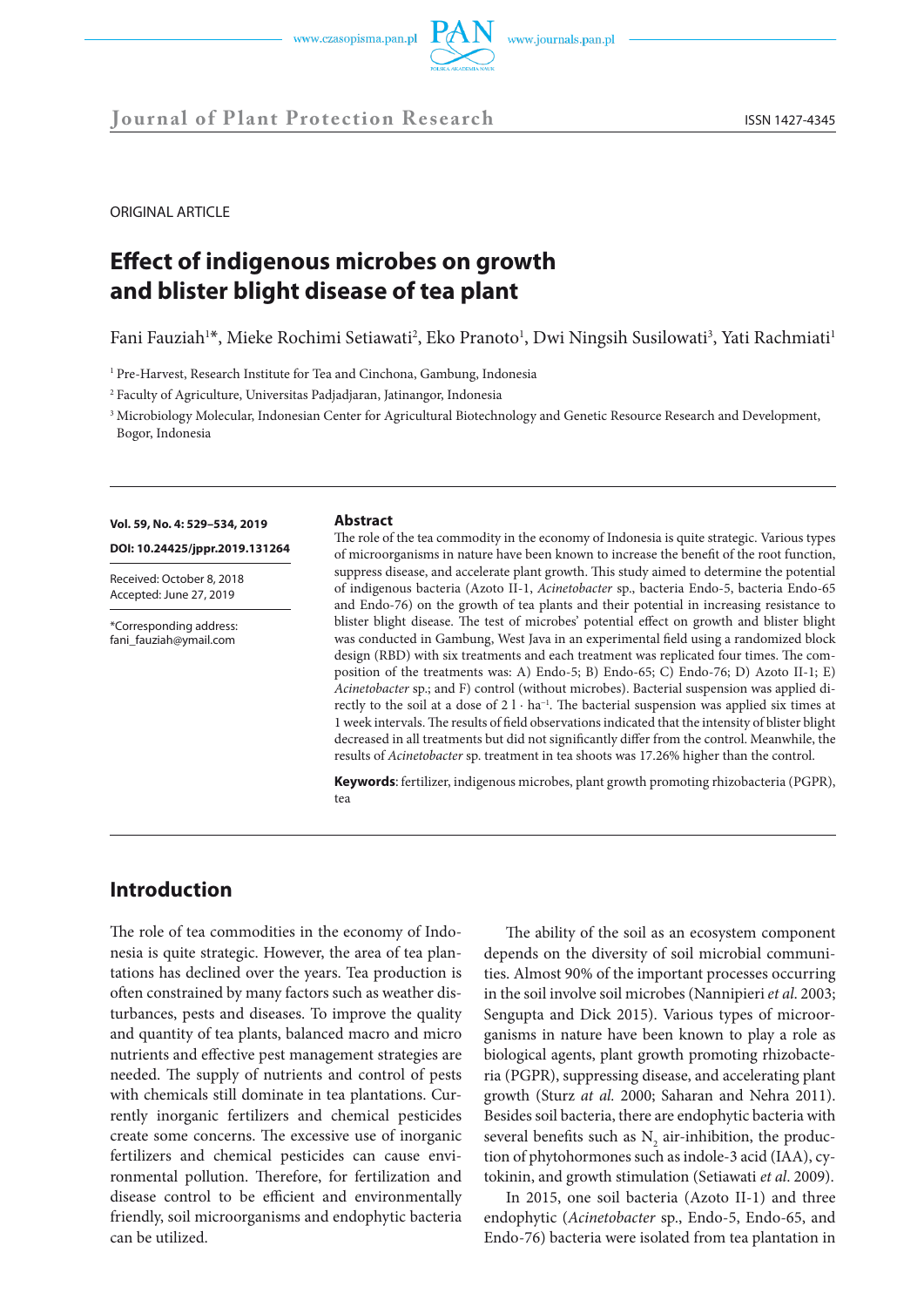



ORIGINAL ARTICLE

# **Effect of indigenous microbes on growth and blister blight disease of tea plant**

Fani Fauziah<sup>1\*</sup>, Mieke Rochimi Setiawati<sup>2</sup>, Eko Pranoto<sup>1</sup>, Dwi Ningsih Susilowati<sup>3</sup>, Yati Rachmiati<sup>1</sup>

<sup>1</sup> Pre-Harvest, Research Institute for Tea and Cinchona, Gambung, Indonesia

<sup>2</sup> Faculty of Agriculture, Universitas Padjadjaran, Jatinangor, Indonesia

<sup>3</sup> Microbiology Molecular, Indonesian Center for Agricultural Biotechnology and Genetic Resource Research and Development, Bogor, Indonesia

### **Vol. 59, No. 4: 529–534, 2019**

**DOI: 10.24425/jppr.2019.131264**

Received: October 8, 2018 Accepted: June 27, 2019

\*Corresponding address: fani\_fauziah@ymail.com

#### **Abstract**

The role of the tea commodity in the economy of Indonesia is quite strategic. Various types of microorganisms in nature have been known to increase the benefit of the root function, suppress disease, and accelerate plant growth. This study aimed to determine the potential of indigenous bacteria (Azoto II-1, *Acinetobacter* sp., bacteria Endo-5, bacteria Endo-65 and Endo-76) on the growth of tea plants and their potential in increasing resistance to blister blight disease. The test of microbes' potential effect on growth and blister blight was conducted in Gambung, West Java in an experimental field using a randomized block design (RBD) with six treatments and each treatment was replicated four times. The composition of the treatments was: A) Endo-5; B) Endo-65; C) Endo-76; D) Azoto II-1; E) *Acinetobacter* sp.; and F) control (without microbes). Bacterial suspension was applied directly to the soil at a dose of 2 l · ha<sup>-1</sup>. The bacterial suspension was applied six times at 1 week intervals. The results of field observations indicated that the intensity of blister blight decreased in all treatments but did not significantly differ from the control. Meanwhile, the results of *Acinetobacter* sp. treatment in tea shoots was 17.26% higher than the control.

**Keywords**: fertilizer, indigenous microbes, plant growth promoting rhizobacteria (PGPR), tea

# **Introduction**

The role of tea commodities in the economy of Indonesia is quite strategic. However, the area of tea plantations has declined over the years. Tea production is often constrained by many factors such as weather disturbances, pests and diseases. To improve the quality and quantity of tea plants, balanced macro and micro nutrients and effective pest management strategies are needed. The supply of nutrients and control of pests with chemicals still dominate in tea plantations. Currently inorganic fertilizers and chemical pesticides create some concerns. The excessive use of inorganic fertilizers and chemical pesticides can cause environmental pollution. Therefore, for fertilization and disease control to be efficient and environmentally friendly, soil microorganisms and endophytic bacteria can be utilized.

The ability of the soil as an ecosystem component depends on the diversity of soil microbial communities. Almost 90% of the important processes occurring in the soil involve soil microbes (Nannipieri *et al*. 2003; Sengupta and Dick 2015). Various types of microorganisms in nature have been known to play a role as biological agents, plant growth promoting rhizobacteria (PGPR), suppressing disease, and accelerating plant growth (Sturz *at al.* 2000; Saharan and Nehra 2011). Besides soil bacteria, there are endophytic bacteria with several benefits such as  $N_2$  air-inhibition, the production of phytohormones such as indole-3 acid (IAA), cytokinin, and growth stimulation (Setiawati *et al*. 2009).

In 2015, one soil bacteria (Azoto II-1) and three endophytic (*Acinetobacter* sp., Endo-5, Endo-65, and Endo-76) bacteria were isolated from tea plantation in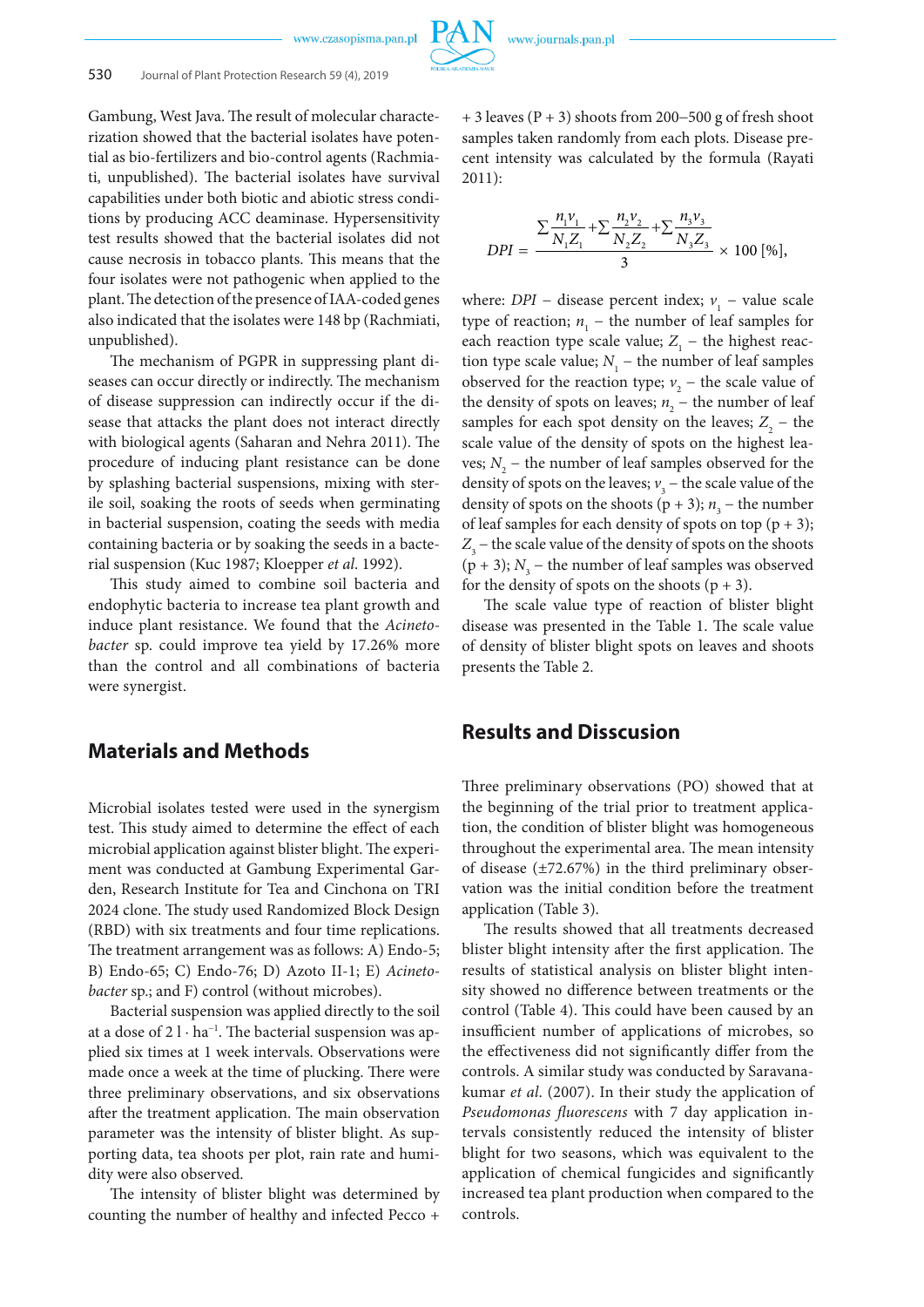Gambung, West Java. The result of molecular characterization showed that the bacterial isolates have potential as bio-fertilizers and bio-control agents (Rachmiati, unpublished). The bacterial isolates have survival capabilities under both biotic and abiotic stress conditions by producing ACC deaminase. Hypersensitivity test results showed that the bacterial isolates did not cause necrosis in tobacco plants. This means that the four isolates were not pathogenic when applied to the plant. The detection of the presence of IAA-coded genes also indicated that the isolates were 148 bp (Rachmiati, unpublished).

The mechanism of PGPR in suppressing plant diseases can occur directly or indirectly. The mechanism of disease suppression can indirectly occur if the disease that attacks the plant does not interact directly with biological agents (Saharan and Nehra 2011). The procedure of inducing plant resistance can be done by splashing bacterial suspensions, mixing with sterile soil, soaking the roots of seeds when germinating in bacterial suspension, coating the seeds with media containing bacteria or by soaking the seeds in a bacterial suspension (Kuc 1987; Kloepper *et al*. 1992).

This study aimed to combine soil bacteria and endophytic bacteria to increase tea plant growth and induce plant resistance. We found that the *Acinetobacter* sp. could improve tea yield by 17.26% more than the control and all combinations of bacteria were synergist.

### **Materials and Methods**

Microbial isolates tested were used in the synergism test. This study aimed to determine the effect of each microbial application against blister blight. The experiment was conducted at Gambung Experimental Garden, Research Institute for Tea and Cinchona on TRI 2024 clone. The study used Randomized Block Design (RBD) with six treatments and four time replications. The treatment arrangement was as follows: A) Endo-5; B) Endo-65; C) Endo-76; D) Azoto II-1; E) *Acinetobacter* sp.; and F) control (without microbes).

Bacterial suspension was applied directly to the soil at a dose of 2 l · ha<sup>-1</sup>. The bacterial suspension was applied six times at 1 week intervals. Observations were made once a week at the time of plucking. There were three preliminary observations, and six observations after the treatment application. The main observation parameter was the intensity of blister blight. As supporting data, tea shoots per plot, rain rate and humidity were also observed.

The intensity of blister blight was determined by counting the number of healthy and infected Pecco +

+ 3 leaves (P + 3) shoots from 200−500 g of fresh shoot samples taken randomly from each plots. Disease precent intensity was calculated by the formula (Rayati 2011):

$$
DPI = \frac{\sum \frac{n_1v_1}{N_1Z_1} + \sum \frac{n_2v_2}{N_2Z_2} + \sum \frac{n_3v_3}{N_3Z_3}}{3} \times 100 [%],
$$

where: *DPI* – disease percent index;  $v_1$  – value scale type of reaction;  $n_1$  – the number of leaf samples for each reaction type scale value;  $Z_1$  – the highest reaction type scale value;  $N_1$  – the number of leaf samples observed for the reaction type;  $v_2$  – the scale value of the density of spots on leaves;  $n_2$  – the number of leaf samples for each spot density on the leaves;  $Z_2$  – the scale value of the density of spots on the highest leaves;  $N_2$  – the number of leaf samples observed for the density of spots on the leaves;  $v_3$  – the scale value of the density of spots on the shoots ( $p + 3$ );  $n<sub>3</sub>$  – the number of leaf samples for each density of spots on top  $(p + 3)$ ;  $Z_{3}$  – the scale value of the density of spots on the shoots  $(p + 3)$ ;  $N<sub>3</sub>$  – the number of leaf samples was observed for the density of spots on the shoots  $(p + 3)$ .

The scale value type of reaction of blister blight disease was presented in the Table 1. The scale value of density of blister blight spots on leaves and shoots presents the Table 2.

### **Results and Disscusion**

Three preliminary observations (PO) showed that at the beginning of the trial prior to treatment application, the condition of blister blight was homogeneous throughout the experimental area. The mean intensity of disease (±72.67%) in the third preliminary observation was the initial condition before the treatment application (Table 3).

The results showed that all treatments decreased blister blight intensity after the first application. The results of statistical analysis on blister blight intensity showed no difference between treatments or the control (Table 4). This could have been caused by an insufficient number of applications of microbes, so the effectiveness did not significantly differ from the controls. A similar study was conducted by Saravanakumar *et al*. (2007). In their study the application of *Pseudomonas fluorescens* with 7 day application intervals consistently reduced the intensity of blister blight for two seasons, which was equivalent to the application of chemical fungicides and significantly increased tea plant production when compared to the controls.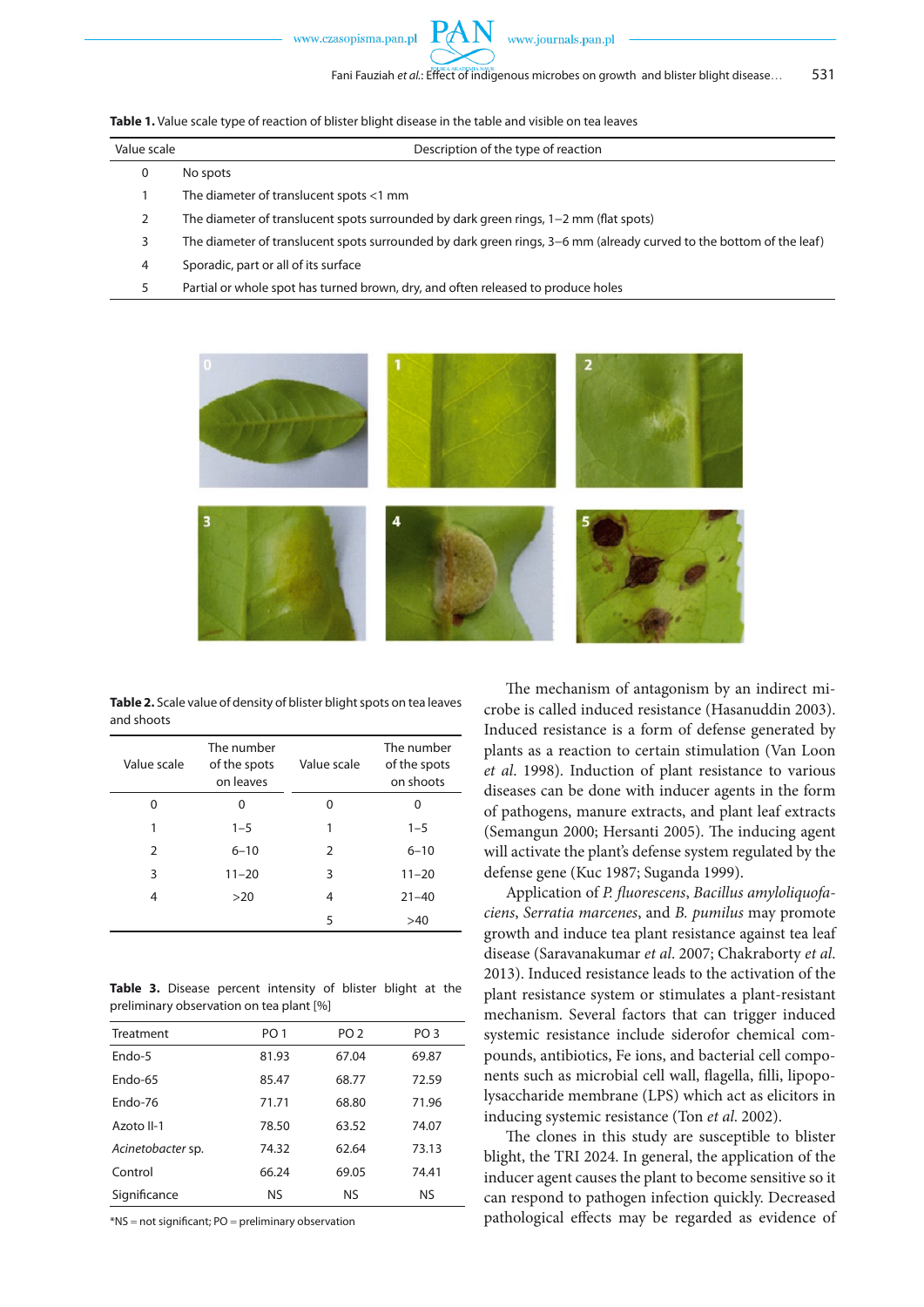**Table 1.** Value scale type of reaction of blister blight disease in the table and visible on tea leaves

| Value scale | Description of the type of reaction                                                                                 |
|-------------|---------------------------------------------------------------------------------------------------------------------|
| U           | No spots                                                                                                            |
|             | The diameter of translucent spots $<$ 1 mm                                                                          |
|             | The diameter of translucent spots surrounded by dark green rings, $1-2$ mm (flat spots)                             |
|             | The diameter of translucent spots surrounded by dark green rings, 3–6 mm (already curved to the bottom of the leaf) |
| 4           | Sporadic, part or all of its surface                                                                                |
|             |                                                                                                                     |

5 Partial or whole spot has turned brown, dry, and often released to produce holes



**Table 2.** Scale value of density of blister blight spots on tea leaves and shoots

| Value scale   | The number<br>of the spots<br>on leaves | Value scale   | The number<br>of the spots<br>on shoots |
|---------------|-----------------------------------------|---------------|-----------------------------------------|
| 0             | 0                                       | 0             | 0                                       |
| 1             | $1 - 5$                                 | 1             | $1 - 5$                                 |
| $\mathcal{P}$ | $6 - 10$                                | $\mathcal{P}$ | $6 - 10$                                |
| 3             | $11 - 20$                               | 3             | $11 - 20$                               |
| 4             | >20                                     | 4             | $21 - 40$                               |
|               |                                         | 5             | >40                                     |

**Table 3.** Disease percent intensity of blister blight at the preliminary observation on tea plant [%]

| Treatment         | PO <sub>1</sub> | PO <sub>2</sub> | PO <sub>3</sub> |
|-------------------|-----------------|-----------------|-----------------|
| $Endo-5$          | 81.93           | 67.04           | 69.87           |
| $Endo-65$         | 85.47           | 68.77           | 72.59           |
| $Endo-76$         | 71.71           | 68.80           | 71.96           |
| Azoto II-1        | 78.50           | 63.52           | 74.07           |
| Acinetobacter sp. | 74.32           | 62.64           | 73.13           |
| Control           | 66.24           | 69.05           | 74.41           |
| Significance      | NS              | NS.             | <b>NS</b>       |

\*NS = not significant; PO = preliminary observation

The mechanism of antagonism by an indirect microbe is called induced resistance (Hasanuddin 2003). Induced resistance is a form of defense generated by plants as a reaction to certain stimulation (Van Loon *et al*. 1998). Induction of plant resistance to various diseases can be done with inducer agents in the form of pathogens, manure extracts, and plant leaf extracts (Semangun 2000; Hersanti 2005). The inducing agent will activate the plant's defense system regulated by the defense gene (Kuc 1987; Suganda 1999).

Application of *P. fluorescens*, *Bacillus amyloliquofaciens*, *Serratia marcenes*, and *B. pumilus* may promote growth and induce tea plant resistance against tea leaf disease (Saravanakumar *et al*. 2007; Chakraborty *et al*. 2013). Induced resistance leads to the activation of the plant resistance system or stimulates a plant-resistant mechanism. Several factors that can trigger induced systemic resistance include siderofor chemical compounds, antibiotics, Fe ions, and bacterial cell components such as microbial cell wall, flagella, filli, lipopolysaccharide membrane (LPS) which act as elicitors in inducing systemic resistance (Ton *et al*. 2002).

The clones in this study are susceptible to blister blight, the TRI 2024. In general, the application of the inducer agent causes the plant to become sensitive so it can respond to pathogen infection quickly. Decreased pathological effects may be regarded as evidence of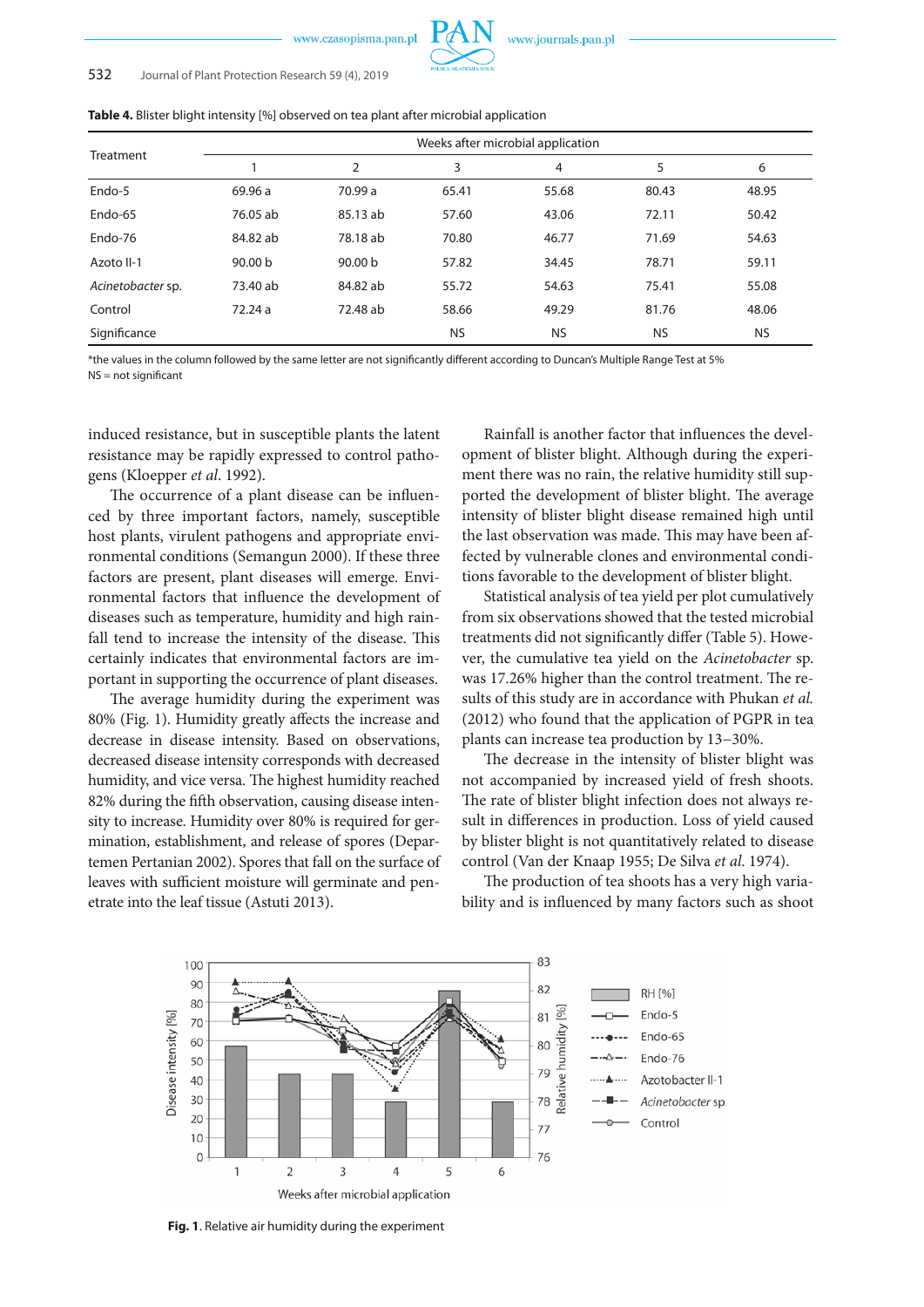### 532 Journal of Plant Protection Research 59 (4), 2019

| <b>Table +.</b> Different productionally [70] Observed Off tea plant arter microbial application |          |                    |           |                                   |           |           |
|--------------------------------------------------------------------------------------------------|----------|--------------------|-----------|-----------------------------------|-----------|-----------|
|                                                                                                  |          |                    |           | Weeks after microbial application |           |           |
| Treatment                                                                                        |          | 2                  | 3         | 4                                 | 5         | 6         |
| Endo-5                                                                                           | 69.96 a  | 70.99 a            | 65.41     | 55.68                             | 80.43     | 48.95     |
| Endo-65                                                                                          | 76.05 ab | 85.13 ab           | 57.60     | 43.06                             | 72.11     | 50.42     |
| Endo-76                                                                                          | 84.82 ab | 78.18 ab           | 70.80     | 46.77                             | 71.69     | 54.63     |
| Azoto II-1                                                                                       | 90.00 b  | 90.00 <sub>b</sub> | 57.82     | 34.45                             | 78.71     | 59.11     |
| Acinetobacter sp.                                                                                | 73.40 ab | 84.82 ab           | 55.72     | 54.63                             | 75.41     | 55.08     |
| Control                                                                                          | 72.24 a  | 72.48 ab           | 58.66     | 49.29                             | 81.76     | 48.06     |
| Significance                                                                                     |          |                    | <b>NS</b> | <b>NS</b>                         | <b>NS</b> | <b>NS</b> |

**Table 4.** Blister blight intensity [%] observed on tea plant after microbial application

\*the values in the column followed by the same letter are not significantly different according to Duncan's Multiple Range Test at 5% NS = not significant

induced resistance, but in susceptible plants the latent resistance may be rapidly expressed to control pathogens (Kloepper *et al*. 1992).

The occurrence of a plant disease can be influenced by three important factors, namely, susceptible host plants, virulent pathogens and appropriate environmental conditions (Semangun 2000). If these three factors are present, plant diseases will emerge. Environmental factors that influence the development of diseases such as temperature, humidity and high rainfall tend to increase the intensity of the disease. This certainly indicates that environmental factors are important in supporting the occurrence of plant diseases.

The average humidity during the experiment was 80% (Fig. 1). Humidity greatly affects the increase and decrease in disease intensity. Based on observations, decreased disease intensity corresponds with decreased humidity, and vice versa. The highest humidity reached 82% during the fifth observation, causing disease intensity to increase. Humidity over 80% is required for germination, establishment, and release of spores (Departemen Pertanian 2002). Spores that fall on the surface of leaves with sufficient moisture will germinate and penetrate into the leaf tissue (Astuti 2013).

Rainfall is another factor that influences the development of blister blight. Although during the experiment there was no rain, the relative humidity still supported the development of blister blight. The average intensity of blister blight disease remained high until the last observation was made. This may have been affected by vulnerable clones and environmental conditions favorable to the development of blister blight.

Statistical analysis of tea yield per plot cumulatively from six observations showed that the tested microbial treatments did not significantly differ (Table 5). However, the cumulative tea yield on the *Acinetobacter* sp. was 17.26% higher than the control treatment. The results of this study are in accordance with Phukan *et al.* (2012) who found that the application of PGPR in tea plants can increase tea production by 13−30%.

The decrease in the intensity of blister blight was not accompanied by increased yield of fresh shoots. The rate of blister blight infection does not always result in differences in production. Loss of yield caused by blister blight is not quantitatively related to disease control (Van der Knaap 1955; De Silva *et al*. 1974).

The production of tea shoots has a very high variability and is influenced by many factors such as shoot



**Fig. 1**. Relative air humidity during the experiment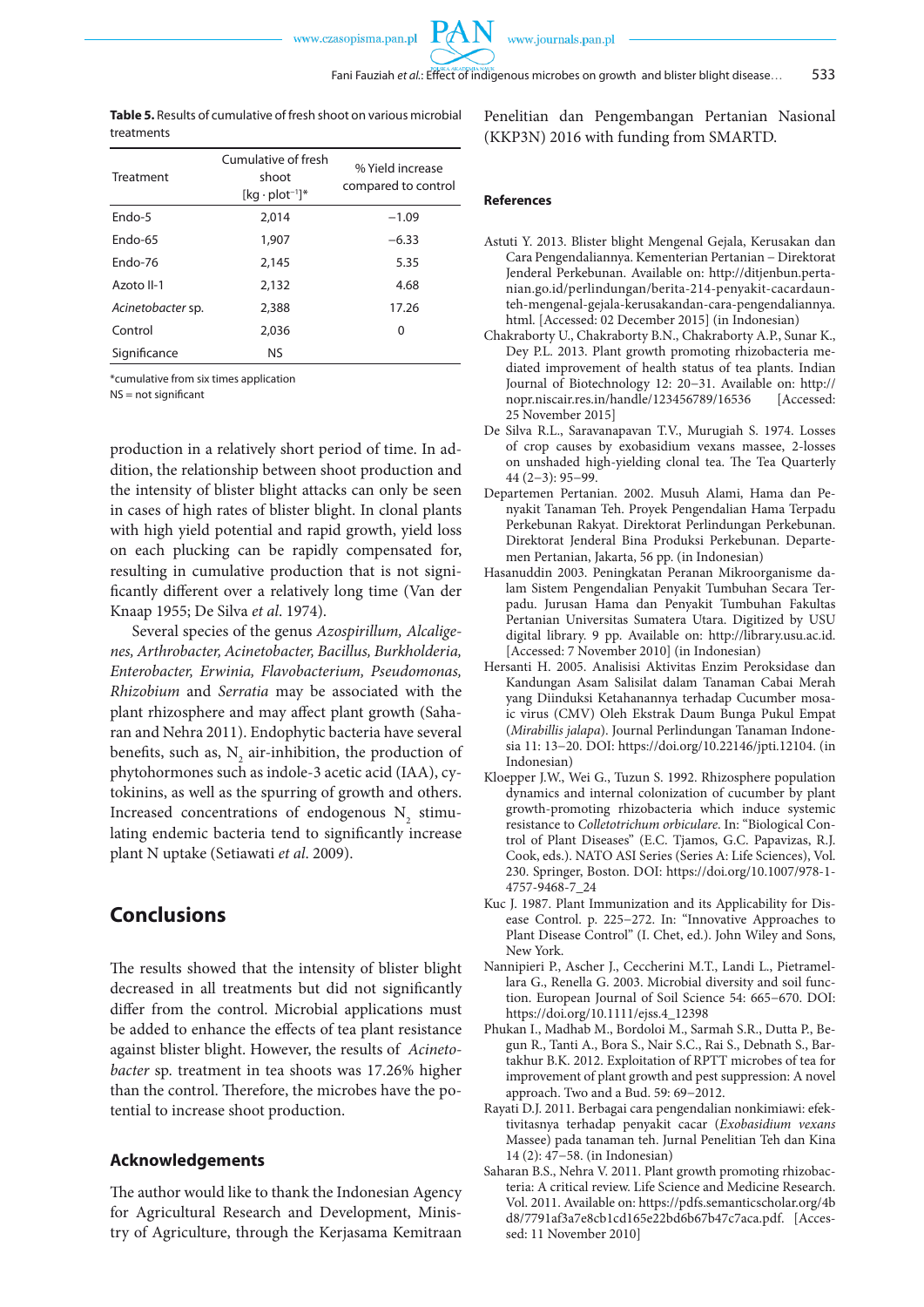PA

**Table 5.** Results of cumulative of fresh shoot on various microbial treatments

| Treatment         | Cumulative of fresh<br>shoot<br>$[kg \cdot plot^{-1}]^*$ | % Yield increase<br>compared to control |
|-------------------|----------------------------------------------------------|-----------------------------------------|
| Endo-5            | 2.014                                                    | $-1.09$                                 |
| Endo-65           | 1,907                                                    | $-6.33$                                 |
| $Endo-76$         | 2,145                                                    | 5.35                                    |
| Azoto II-1        | 2,132                                                    | 4.68                                    |
| Acinetobacter sp. | 2,388                                                    | 17.26                                   |
| Control           | 2,036                                                    | 0                                       |
| Significance      | <b>NS</b>                                                |                                         |

\*cumulative from six times application

 $NS = not$  significant

production in a relatively short period of time. In addition, the relationship between shoot production and the intensity of blister blight attacks can only be seen in cases of high rates of blister blight. In clonal plants with high yield potential and rapid growth, yield loss on each plucking can be rapidly compensated for, resulting in cumulative production that is not significantly different over a relatively long time (Van der Knaap 1955; De Silva *et al*. 1974).

Several species of the genus *Azospirillum, Alcaligenes, Arthrobacter, Acinetobacter, Bacillus, Burkholderia, Enterobacter, Erwinia, Flavobacterium, Pseudomonas, Rhizobium* and *Serratia* may be associated with the plant rhizosphere and may affect plant growth (Saharan and Nehra 2011). Endophytic bacteria have several benefits, such as,  $N_2$  air-inhibition, the production of phytohormones such as indole-3 acetic acid (IAA), cytokinins, as well as the spurring of growth and others. Increased concentrations of endogenous  $N_2$  stimulating endemic bacteria tend to significantly increase plant N uptake (Setiawati *et al*. 2009).

# **Conclusions**

The results showed that the intensity of blister blight decreased in all treatments but did not significantly differ from the control. Microbial applications must be added to enhance the effects of tea plant resistance against blister blight. However, the results of *Acinetobacter* sp. treatment in tea shoots was 17.26% higher than the control. Therefore, the microbes have the potential to increase shoot production.

### **Acknowledgements**

The author would like to thank the Indonesian Agency for Agricultural Research and Development, Ministry of Agriculture, through the Kerjasama Kemitraan Penelitian dan Pengembangan Pertanian Nasional (KKP3N) 2016 with funding from SMARTD.

### **References**

- Astuti Y. 2013. Blister blight Mengenal Gejala, Kerusakan dan Cara Pengendaliannya. Kementerian Pertanian − Direktorat Jenderal Perkebunan. Available on: http://ditjenbun.pertanian.go.id/perlindungan/berita-214-penyakit-cacardaunteh-mengenal-gejala-kerusakandan-cara-pengendaliannya. html. [Accessed: 02 December 2015] (in Indonesian)
- Chakraborty U., Chakraborty B.N., Chakraborty A.P., Sunar K., Dey P.L. 2013. Plant growth promoting rhizobacteria mediated improvement of health status of tea plants. Indian Journal of Biotechnology 12: 20−31. Available on: http:// nopr.niscair.res.in/handle/123456789/16536 [Accessed: 25 November 2015]
- De Silva R.L., Saravanapavan T.V., Murugiah S. 1974. Losses of crop causes by exobasidium vexans massee, 2-losses on unshaded high-yielding clonal tea. The Tea Quarterly 44 (2−3): 95−99.
- Departemen Pertanian. 2002. Musuh Alami, Hama dan Penyakit Tanaman Teh. Proyek Pengendalian Hama Terpadu Perkebunan Rakyat. Direktorat Perlindungan Perkebunan. Direktorat Jenderal Bina Produksi Perkebunan. Departemen Pertanian, Jakarta, 56 pp. (in Indonesian)
- Hasanuddin 2003. Peningkatan Peranan Mikroorganisme dalam Sistem Pengendalian Penyakit Tumbuhan Secara Terpadu. Jurusan Hama dan Penyakit Tumbuhan Fakultas Pertanian Universitas Sumatera Utara. Digitized by USU digital library. 9 pp. Available on: http://library.usu.ac.id. [Accessed: 7 November 2010] (in Indonesian)
- Hersanti H. 2005. Analisisi Aktivitas Enzim Peroksidase dan Kandungan Asam Salisilat dalam Tanaman Cabai Merah yang Diinduksi Ketahanannya terhadap Cucumber mosaic virus (CMV) Oleh Ekstrak Daum Bunga Pukul Empat (*Mirabillis jalapa*). Journal Perlindungan Tanaman Indonesia 11: 13−20. DOI: https://doi.org/10.22146/jpti.12104. (in Indonesian)
- Kloepper J.W., Wei G., Tuzun S. 1992. Rhizosphere population dynamics and internal colonization of cucumber by plant growth-promoting rhizobacteria which induce systemic resistance to *Colletotrichum orbiculare*. In: "Biological Control of Plant Diseases" (E.C. Tjamos, G.C. Papavizas, R.J. Cook, eds.). NATO ASI Series (Series A: Life Sciences), Vol. 230. Springer, Boston. DOI: https://doi.org/10.1007/978-1- 4757-9468-7\_24
- Kuc J. 1987. Plant Immunization and its Applicability for Disease Control. p. 225−272. In: "Innovative Approaches to Plant Disease Control" (I. Chet, ed.). John Wiley and Sons, New York.
- Nannipieri P., Ascher J., Ceccherini M.T., Landi L., Pietramellara G., Renella G. 2003. Microbial diversity and soil function. European Journal of Soil Science 54: 665−670. DOI: https://doi.org/10.1111/ejss.4\_12398
- Phukan I., Madhab M., Bordoloi M., Sarmah S.R., Dutta P., Begun R., Tanti A., Bora S., Nair S.C., Rai S., Debnath S., Bartakhur B.K. 2012. Exploitation of RPTT microbes of tea for improvement of plant growth and pest suppression: A novel approach. Two and a Bud. 59: 69−2012.
- Rayati D.J. 2011. Berbagai cara pengendalian nonkimiawi: efektivitasnya terhadap penyakit cacar (*Exobasidium vexans*  Massee) pada tanaman teh. Jurnal Penelitian Teh dan Kina 14 (2): 47−58. (in Indonesian)
- Saharan B.S., Nehra V. 2011. Plant growth promoting rhizobacteria: A critical review. Life Science and Medicine Research. Vol. 2011. Available on: https://pdfs.semanticscholar.org/4b d8/7791af3a7e8cb1cd165e22bd6b67b47c7aca.pdf. [Accessed: 11 November 2010]